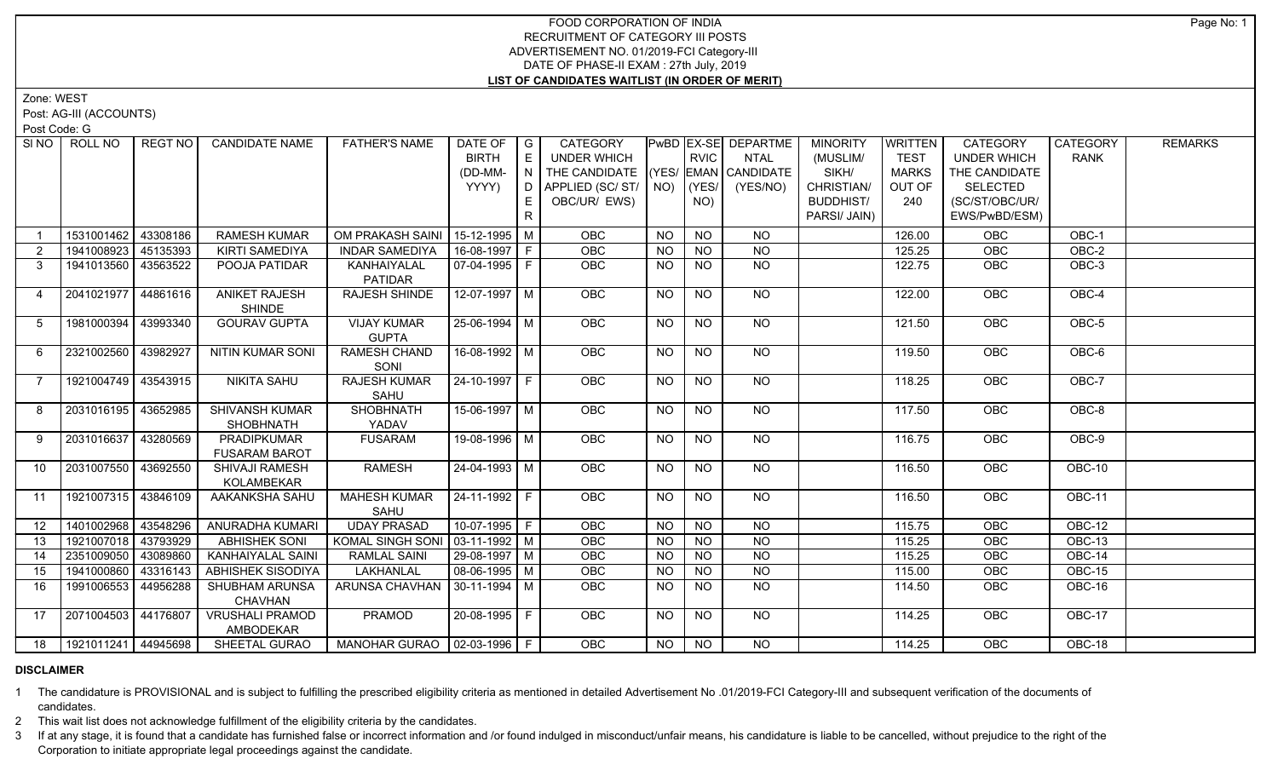## FOOD CORPORATION OF INDIA RECRUITMENT OF CATEGORY III POSTS ADVERTISEMENT NO. 01/2019-FCI Category-III DATE OF PHASE-II EXAM : 27th July, 2019 **LIST OF CANDIDATES WAITLIST (IN ORDER OF MERIT)**

Zone: WEST

Post: AG-III (ACCOUNTS)

Post Code: G

| SI <sub>NO</sub> | ROLL NO               | <b>REGT NO</b> | <b>CANDIDATE NAME</b>                     | <b>FATHER'S NAME</b>               | DATE OF $ G $<br><b>BIRTH</b><br>(DD-MM-<br>YYYY) | E<br>IN I<br>E. | CATEGORY<br>UNDER WHICH<br>THE CANDIDATE (YES/ EMAN CANDIDATE<br>D APPLIED (SC/ ST/ NO)<br>OBC/UR/ EWS) |           | <b>RVIC</b><br>(YES/<br>NO) | PwBD EX-SE DEPARTME<br><b>NTAL</b><br>(YES/NO) | <b>MINORITY</b><br>(MUSLIM/<br>SIKH/<br>CHRISTIAN/<br><b>BUDDHIST/</b> | <b>WRITTEN</b><br><b>TEST</b><br><b>MARKS</b><br>OUT OF<br>240 | CATEGORY<br><b>UNDER WHICH</b><br>THE CANDIDATE<br><b>SELECTED</b><br>(SC/ST/OBC/UR/ | CATEGORY<br><b>RANK</b> | <b>REMARKS</b> |
|------------------|-----------------------|----------------|-------------------------------------------|------------------------------------|---------------------------------------------------|-----------------|---------------------------------------------------------------------------------------------------------|-----------|-----------------------------|------------------------------------------------|------------------------------------------------------------------------|----------------------------------------------------------------|--------------------------------------------------------------------------------------|-------------------------|----------------|
|                  |                       |                |                                           |                                    |                                                   | R               |                                                                                                         |           |                             |                                                | PARSI/ JAIN)                                                           |                                                                | EWS/PwBD/ESM)                                                                        |                         |                |
|                  | 1531001462            | 43308186       | <b>RAMESH KUMAR</b>                       | OM PRAKASH SAINI   15-12-1995   M  |                                                   |                 | <b>OBC</b>                                                                                              | <b>NO</b> | <b>NO</b>                   | <b>NO</b>                                      |                                                                        | 126.00                                                         | OBC                                                                                  | OBC-1                   |                |
| $\overline{2}$   | 1941008923            | 45135393       | <b>KIRTI SAMEDIYA</b>                     | <b>INDAR SAMEDIYA</b>              | $16-08-1997$ F                                    |                 | OBC                                                                                                     | <b>NO</b> | $N$ O                       | $N$ O                                          |                                                                        | 125.25                                                         | OBC                                                                                  | OBC-2                   |                |
| $\mathbf{3}$     | 1941013560 43563522   |                | POOJA PATIDAR                             | KANHAIYALAL<br>PATIDAR             | $\boxed{07 - 04 - 1995}$ F                        |                 | <b>OBC</b>                                                                                              | <b>NO</b> | $N$ O                       | $N$ O                                          |                                                                        | 122.75                                                         | OBC                                                                                  | OBC-3                   |                |
| $\overline{4}$   | 2041021977 44861616   |                | <b>ANIKET RAJESH</b><br><b>SHINDE</b>     | RAJESH SHINDE                      | 12-07-1997 M                                      |                 | OBC                                                                                                     | <b>NO</b> | <b>NO</b>                   | <b>NO</b>                                      |                                                                        | 122.00                                                         | OBC                                                                                  | OBC-4                   |                |
| 5                | 1981000394            | 43993340       | <b>GOURAV GUPTA</b>                       | <b>VIJAY KUMAR</b><br><b>GUPTA</b> | 25-06-1994 M                                      |                 | OBC                                                                                                     | <b>NO</b> | <b>NO</b>                   | $\overline{NO}$                                |                                                                        | 121.50                                                         | OBC                                                                                  | OBC-5                   |                |
| 6                | 2321002560            | 43982927       | <b>NITIN KUMAR SONI</b>                   | <b>RAMESH CHAND</b><br>SONI        | $16-08-1992$ M                                    |                 | OBC                                                                                                     | <b>NO</b> | <b>NO</b>                   | $\overline{NO}$                                |                                                                        | 119.50                                                         | OBC                                                                                  | $OBC-6$                 |                |
| $\overline{7}$   | 1921004749 43543915   |                | <b>NIKITA SAHU</b>                        | <b>RAJESH KUMAR</b><br>SAHU        | 24-10-1997 F                                      |                 | OBC                                                                                                     | <b>NO</b> | <b>NO</b>                   | <b>NO</b>                                      |                                                                        | 118.25                                                         | OBC                                                                                  | $OBC-7$                 |                |
| 8                | 2031016195            | 43652985       | <b>SHIVANSH KUMAR</b><br><b>SHOBHNATH</b> | <b>SHOBHNATH</b><br>YADAV          | $15-06-1997$ M                                    |                 | <b>OBC</b>                                                                                              | <b>NO</b> | N <sub>O</sub>              | $N$ <sup>O</sup>                               |                                                                        | 117.50                                                         | <b>OBC</b>                                                                           | OBC-8                   |                |
| 9                | 2031016637            | 43280569       | PRADIPKUMAR<br><b>FUSARAM BAROT</b>       | <b>FUSARAM</b>                     | 19-08-1996 M                                      |                 | OBC                                                                                                     | <b>NO</b> | <b>NO</b>                   | <b>NO</b>                                      |                                                                        | 116.75                                                         | OBC                                                                                  | OBC-9                   |                |
| 10 <sup>1</sup>  | 2031007550 43692550   |                | SHIVAJI RAMESH<br>KOLAMBEKAR              | <b>RAMESH</b>                      | $24 - 04 - 1993$ M                                |                 | OBC                                                                                                     | <b>NO</b> | NO                          | $\overline{NO}$                                |                                                                        | 116.50                                                         | <b>OBC</b>                                                                           | $OBC-10$                |                |
| 11               | 1921007315 43846109   |                | AAKANKSHA SAHU                            | <b>MAHESH KUMAR</b><br>SAHU        | 24-11-1992 F                                      |                 | OBC                                                                                                     | <b>NO</b> | <b>NO</b>                   | <b>NO</b>                                      |                                                                        | 116.50                                                         | OBC                                                                                  | OBC-11                  |                |
| 12               | 1401002968 43548296   |                | <b>ANURADHA KUMARI</b>                    | <b>UDAY PRASAD</b>                 | $10-07-1995$ F                                    |                 | OBC                                                                                                     | $N$ O     | $N$ O                       | $N$ O                                          |                                                                        | 115.75                                                         | OBC                                                                                  | $OBC-12$                |                |
| 13               | 1921007018 43793929   |                | <b>ABHISHEK SONI</b>                      | KOMAL SINGH SONI   03-11-1992   M  |                                                   |                 | OBC                                                                                                     | <b>NO</b> | <b>NO</b>                   | $N$ O                                          |                                                                        | 115.25                                                         | OBC                                                                                  | <b>OBC-13</b>           |                |
| 14               | 2351009050 43089860   |                | KANHAIYALAL SAINI                         | <b>RAMLAL SAINI</b>                | 29-08-1997 M                                      |                 | OBC                                                                                                     | <b>NO</b> | <b>NO</b>                   | $N$ O                                          |                                                                        | 115.25                                                         | OBC                                                                                  | <b>OBC-14</b>           |                |
| 15               | 1941000860            | 43316143       | <b>ABHISHEK SISODIYA</b>                  | <b>LAKHANLAL</b>                   | $\boxed{08-06-1995}$ M                            |                 | OBC                                                                                                     | <b>NO</b> | $N$ O                       | N                                              |                                                                        | 115.00                                                         | OBC                                                                                  | $OBC-15$                |                |
| 16               | 1991006553            | 44956288       | SHUBHAM ARUNSA<br><b>CHAVHAN</b>          | ARUNSA CHAVHAN                     | 30-11-1994   M                                    |                 | <b>OBC</b>                                                                                              | NO.       | NO.                         | NO.                                            |                                                                        | 114.50                                                         | OBC                                                                                  | OBC-16                  |                |
| 17               | 2071004503 44176807   |                | <b>VRUSHALI PRAMOD</b><br>AMBODEKAR       | PRAMOD                             | 20-08-1995 F                                      |                 | <b>OBC</b>                                                                                              | <b>NO</b> | <b>NO</b>                   | NO                                             |                                                                        | 114.25                                                         | <b>OBC</b>                                                                           | OBC-17                  |                |
| 18               | 1921011241   44945698 |                | SHEETAL GURAO                             | MANOHAR GURAO   02-03-1996   F     |                                                   |                 | OBC                                                                                                     | <b>NO</b> | <b>NO</b>                   | <b>NO</b>                                      |                                                                        | 114.25                                                         | <b>OBC</b>                                                                           | OBC-18                  |                |

## **DISCLAIMER**

1 The candidature is PROVISIONAL and is subject to fulfilling the prescribed eligibility criteria as mentioned in detailed Advertisement No .01/2019-FCI Category-III and subsequent verification of the documents of candidates.

2 This wait list does not acknowledge fulfillment of the eligibility criteria by the candidates.

3 If at any stage, it is found that a candidate has furnished false or incorrect information and /or found indulged in misconduct/unfair means, his candidature is liable to be cancelled, without prejudice to the right of t Corporation to initiate appropriate legal proceedings against the candidate.

Page No: 1